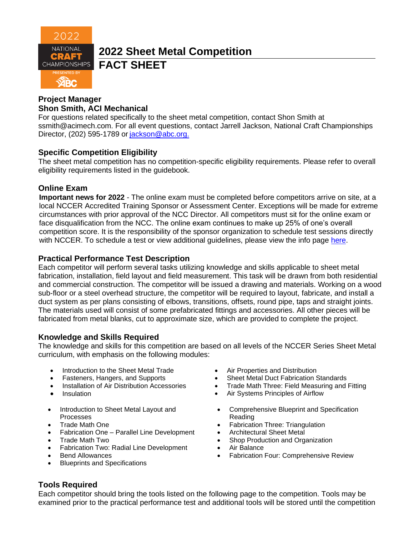

**2022 Sheet Metal Competition** 

**FACT SHEET**

## **Project Manager Shon Smith, ACI Mechanical**

For questions related specifically to the sheet metal competition, contact Shon Smith at [ssmith@acimech.com.](mailto:ssmith@acimech.com) For all event questions, contact Jarrell Jackson, National Craft Championships Director, (202) 595-1789 or [jackson@abc.org.](mailto:jackson@abc.org.)

# **Specific Competition Eligibility**

The sheet metal competition has no competition-specific eligibility requirements. Please refer to overall eligibility requirements listed in the guidebook.

## **Online Exam**

**Important news for 2022** - The online exam must be completed before competitors arrive on site, at a local NCCER Accredited Training Sponsor or Assessment Center. Exceptions will be made for extreme circumstances with prior approval of the NCC Director. All competitors must sit for the online exam or face disqualification from the NCC. The online exam continues to make up 25% of one's overall competition score. It is the responsibility of the sponsor organization to schedule test sessions directly with NCCER. To schedule a test or view additional guidelines, please view the info page [here.](https://abc.org/Portals/1/NCC/National%20Craft%20Championship%20Testing%20Overview%20and%20Registration.pdf?ver=2022-01-31-154655-600)

## **Practical Performance Test Description**

Each competitor will perform several tasks utilizing knowledge and skills applicable to sheet metal fabrication, installation, field layout and field measurement. This task will be drawn from both residential and commercial construction. The competitor will be issued a drawing and materials. Working on a wood sub-floor or a steel overhead structure, the competitor will be required to layout, fabricate, and install a duct system as per plans consisting of elbows, transitions, offsets, round pipe, taps and straight joints. The materials used will consist of some prefabricated fittings and accessories. All other pieces will be fabricated from metal blanks, cut to approximate size, which are provided to complete the project.

## **Knowledge and Skills Required**

The knowledge and skills for this competition are based on all levels of the NCCER Series Sheet Metal curriculum, with emphasis on the following modules:

- Introduction to the Sheet Metal Trade
- Fasteners, Hangers, and Supports
- Installation of Air Distribution Accessories
- Insulation
- Introduction to Sheet Metal Layout and Processes
- Trade Math One
- Fabrication One Parallel Line Development
- Trade Math Two
- Fabrication Two: Radial Line Development
- Bend Allowances
- Blueprints and Specifications
- Air Properties and Distribution
- Sheet Metal Duct Fabrication Standards
- Trade Math Three: Field Measuring and Fitting
- Air Systems Principles of Airflow
- Comprehensive Blueprint and Specification Reading
- Fabrication Three: Triangulation
- Architectural Sheet Metal
- Shop Production and Organization
- Air Balance
- Fabrication Four: Comprehensive Review

## **Tools Required**

Each competitor should bring the tools listed on the following page to the competition. Tools may be examined prior to the practical performance test and additional tools will be stored until the competition